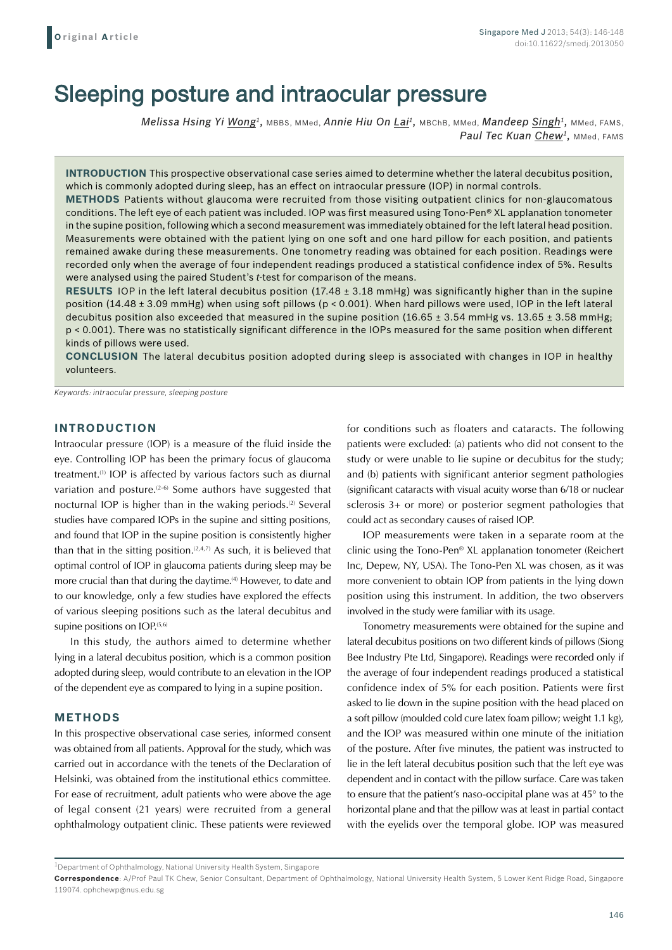# Sleeping posture and intraocular pressure

*Melissa Hsing Yi Wong1,* MBBS, MMed, *Annie Hiu On Lai1,* MBChB, MMed, *Mandeep Singh1,* MMed, FAMS, Paul Tec Kuan Chew<sup>1</sup>, MMed, FAMS

**INTRODUCTION** This prospective observational case series aimed to determine whether the lateral decubitus position, which is commonly adopted during sleep, has an effect on intraocular pressure (IOP) in normal controls.

**Methods** Patients without glaucoma were recruited from those visiting outpatient clinics for non-glaucomatous conditions. The left eye of each patient was included. IOP was first measured using Tono-Pen® XL applanation tonometer in the supine position, following which a second measurement was immediately obtained for the left lateral head position. Measurements were obtained with the patient lying on one soft and one hard pillow for each position, and patients remained awake during these measurements. One tonometry reading was obtained for each position. Readings were recorded only when the average of four independent readings produced a statistical confidence index of 5%. Results were analysed using the paired Student's *t*-test for comparison of the means.

**Results** IOP in the left lateral decubitus position (17.48 ± 3.18 mmHg) was significantly higher than in the supine position (14.48 ± 3.09 mmHg) when using soft pillows (p < 0.001). When hard pillows were used, IOP in the left lateral decubitus position also exceeded that measured in the supine position (16.65  $\pm$  3.54 mmHg vs. 13.65  $\pm$  3.58 mmHg; p < 0.001). There was no statistically significant difference in the IOPs measured for the same position when different kinds of pillows were used.

**Conclusion** The lateral decubitus position adopted during sleep is associated with changes in IOP in healthy volunteers.

*Keywords: intraocular pressure, sleeping posture*

## **INTRODUCTION**

Intraocular pressure (IOP) is a measure of the fluid inside the eye. Controlling IOP has been the primary focus of glaucoma treatment.(1) IOP is affected by various factors such as diurnal variation and posture.(2-6) Some authors have suggested that nocturnal IOP is higher than in the waking periods.<sup>(2)</sup> Several studies have compared IOPs in the supine and sitting positions, and found that IOP in the supine position is consistently higher than that in the sitting position.<sup> $(2,4,7)$ </sup> As such, it is believed that optimal control of IOP in glaucoma patients during sleep may be more crucial than that during the daytime.<sup>(4)</sup> However, to date and to our knowledge, only a few studies have explored the effects of various sleeping positions such as the lateral decubitus and supine positions on  $IOP^{(5,6)}$ 

In this study, the authors aimed to determine whether lying in a lateral decubitus position, which is a common position adopted during sleep, would contribute to an elevation in the IOP of the dependent eye as compared to lying in a supine position.

#### **METHODS**

In this prospective observational case series, informed consent was obtained from all patients. Approval for the study, which was carried out in accordance with the tenets of the Declaration of Helsinki, was obtained from the institutional ethics committee. For ease of recruitment, adult patients who were above the age of legal consent (21 years) were recruited from a general ophthalmology outpatient clinic. These patients were reviewed

for conditions such as floaters and cataracts. The following patients were excluded: (a) patients who did not consent to the study or were unable to lie supine or decubitus for the study; and (b) patients with significant anterior segment pathologies (significant cataracts with visual acuity worse than 6/18 or nuclear sclerosis 3+ or more) or posterior segment pathologies that could act as secondary causes of raised IOP.

IOP measurements were taken in a separate room at the clinic using the Tono-Pen® XL applanation tonometer (Reichert Inc, Depew, NY, USA). The Tono-Pen XL was chosen, as it was more convenient to obtain IOP from patients in the lying down position using this instrument. In addition, the two observers involved in the study were familiar with its usage.

Tonometry measurements were obtained for the supine and lateral decubitus positions on two different kinds of pillows (Siong Bee Industry Pte Ltd, Singapore). Readings were recorded only if the average of four independent readings produced a statistical confidence index of 5% for each position. Patients were first asked to lie down in the supine position with the head placed on a soft pillow (moulded cold cure latex foam pillow; weight 1.1 kg), and the IOP was measured within one minute of the initiation of the posture. After five minutes, the patient was instructed to lie in the left lateral decubitus position such that the left eye was dependent and in contact with the pillow surface. Care was taken to ensure that the patient's naso-occipital plane was at 45° to the horizontal plane and that the pillow was at least in partial contact with the eyelids over the temporal globe. IOP was measured

 $1$ Department of Ophthalmology, National University Health System, Singapore

**Correspondence**: A/Prof Paul TK Chew, Senior Consultant, Department of Ophthalmology, National University Health System, 5 Lower Kent Ridge Road, Singapore 119074. ophchewp@nus.edu.sg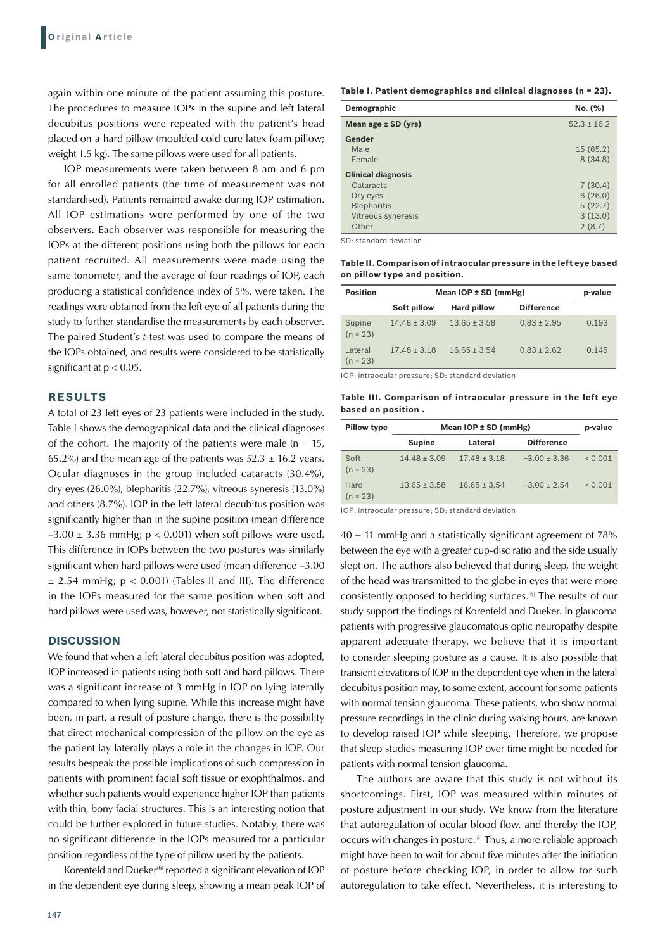again within one minute of the patient assuming this posture. The procedures to measure IOPs in the supine and left lateral decubitus positions were repeated with the patient's head placed on a hard pillow (moulded cold cure latex foam pillow; weight 1.5 kg). The same pillows were used for all patients.

IOP measurements were taken between 8 am and 6 pm for all enrolled patients (the time of measurement was not standardised). Patients remained awake during IOP estimation. All IOP estimations were performed by one of the two observers. Each observer was responsible for measuring the IOPs at the different positions using both the pillows for each patient recruited. All measurements were made using the same tonometer, and the average of four readings of IOP, each producing a statistical confidence index of 5%, were taken. The readings were obtained from the left eye of all patients during the study to further standardise the measurements by each observer. The paired Student's *t*-test was used to compare the means of the IOPs obtained, and results were considered to be statistically significant at  $p < 0.05$ .

### **RESULTS**

A total of 23 left eyes of 23 patients were included in the study. Table I shows the demographical data and the clinical diagnoses of the cohort. The majority of the patients were male ( $n = 15$ , 65.2%) and the mean age of the patients was  $52.3 \pm 16.2$  years. Ocular diagnoses in the group included cataracts (30.4%), dry eyes (26.0%), blepharitis (22.7%), vitreous syneresis (13.0%) and others (8.7%). IOP in the left lateral decubitus position was significantly higher than in the supine position (mean difference  $-3.00 \pm 3.36$  mmHg; p < 0.001) when soft pillows were used. This difference in IOPs between the two postures was similarly significant when hard pillows were used (mean difference −3.00  $\pm$  2.54 mmHg;  $p < 0.001$ ) (Tables II and III). The difference in the IOPs measured for the same position when soft and hard pillows were used was, however, not statistically significant.

### **DISCUSSION**

We found that when a left lateral decubitus position was adopted, IOP increased in patients using both soft and hard pillows. There was a significant increase of 3 mmHg in IOP on lying laterally compared to when lying supine. While this increase might have been, in part, a result of posture change, there is the possibility that direct mechanical compression of the pillow on the eye as the patient lay laterally plays a role in the changes in IOP. Our results bespeak the possible implications of such compression in patients with prominent facial soft tissue or exophthalmos, and whether such patients would experience higher IOP than patients with thin, bony facial structures. This is an interesting notion that could be further explored in future studies. Notably, there was no significant difference in the IOPs measured for a particular position regardless of the type of pillow used by the patients.

Korenfeld and Dueker<sup>(6)</sup> reported a significant elevation of IOP in the dependent eye during sleep, showing a mean peak IOP of **Table I. Patient demographics and clinical diagnoses (n = 23).**

| Demographic               | No. (%)         |
|---------------------------|-----------------|
| Mean age $±$ SD (yrs)     | $52.3 \pm 16.2$ |
| Gender                    |                 |
| Male                      | 15(65.2)        |
| Female                    | 8(34.8)         |
| <b>Clinical diagnosis</b> |                 |
| Cataracts                 | 7(30.4)         |
| Dry eyes                  | 6(26.0)         |
| <b>Blepharitis</b>        | 5(22.7)         |
| Vitreous syneresis        | 3(13.0)         |
| Other                     | 2(8.7)          |

SD: standard deviation

**Table II. Comparison of intraocular pressure in the left eye based on pillow type and position.**

| <b>Position</b>       | Mean $IOP \pm SD$ (mmHg) | p-value            |                   |       |
|-----------------------|--------------------------|--------------------|-------------------|-------|
|                       | Soft pillow              | <b>Hard pillow</b> | <b>Difference</b> |       |
| Supine<br>$(n = 23)$  | $14.48 \pm 3.09$         | $13.65 \pm 3.58$   | $0.83 \pm 2.95$   | 0.193 |
| Lateral<br>$(n = 23)$ | $17.48 \pm 3.18$         | $16.65 \pm 3.54$   | $0.83 \pm 2.62$   | 0.145 |

IOP: intraocular pressure; SD: standard deviation

**Table III. Comparison of intraocular pressure in the left eye based on position .**

| <b>Pillow type</b> | Mean $IOP \pm SD$ (mmHg) |                  |                   | p-value      |
|--------------------|--------------------------|------------------|-------------------|--------------|
|                    | <b>Supine</b>            | Lateral          | <b>Difference</b> |              |
| Soft<br>$(n = 23)$ | $14.48 \pm 3.09$         | $17.48 \pm 3.18$ | $-3.00 \pm 3.36$  | ${}_{0.001}$ |
| Hard<br>$(n = 23)$ | $13.65 \pm 3.58$         | $16.65 \pm 3.54$ | $-3.00 \pm 2.54$  | ${}_{0.001}$ |

IOP: intraocular pressure; SD: standard deviation

 $40 \pm 11$  mmHg and a statistically significant agreement of 78% between the eye with a greater cup-disc ratio and the side usually slept on. The authors also believed that during sleep, the weight of the head was transmitted to the globe in eyes that were more consistently opposed to bedding surfaces.(6) The results of our study support the findings of Korenfeld and Dueker. In glaucoma patients with progressive glaucomatous optic neuropathy despite apparent adequate therapy, we believe that it is important to consider sleeping posture as a cause. It is also possible that transient elevations of IOP in the dependent eye when in the lateral decubitus position may, to some extent, account for some patients with normal tension glaucoma. These patients, who show normal pressure recordings in the clinic during waking hours, are known to develop raised IOP while sleeping. Therefore, we propose that sleep studies measuring IOP over time might be needed for patients with normal tension glaucoma.

The authors are aware that this study is not without its shortcomings. First, IOP was measured within minutes of posture adjustment in our study. We know from the literature that autoregulation of ocular blood flow, and thereby the IOP, occurs with changes in posture.<sup>(8)</sup> Thus, a more reliable approach might have been to wait for about five minutes after the initiation of posture before checking IOP, in order to allow for such autoregulation to take effect. Nevertheless, it is interesting to